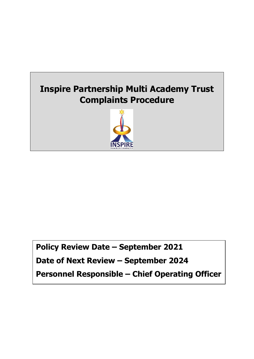

**Policy Review Date – September 2021 Date of Next Review – September 2024 Personnel Responsible – Chief Operating Officer**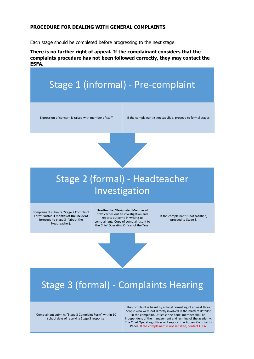#### **PROCEDURE FOR DEALING WITH GENERAL COMPLAINTS**

Each stage should be completed before progressing to the next stage.

**There is no further right of appeal. If the complainant considers that the complaints procedure has not been followed correctly, they may contact the ESFA.**



Complainant submits "Stage 2 Complaint Form" **within 3 months of the incident**  (proceed to stage 3 if about the Headteacher).

Headteacher/Designated Member of Staff carries out an investigation and reports outcome in writing to complainant. Copy of complaint sent to the Chief Operating Officer of the Trust

If the complainant is not satisfied, proceed to Stage 3.

# Stage 3 (formal) - Complaints Hearing

Complainant submits "Stage 3 Complaint Form" within 10 school days of receiving Stage 3 response.

The complaint is heard by a Panel consisting of at least three people who were not directly involved in the matters detailed in the complaint. At least one panel member shall be independent of the management and running of the academy. The Chief Operating officer will support the Appeal Complaints Panel. If the complainant is not satisfied, contact ESFA.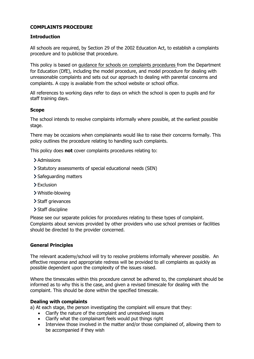# **COMPLAINTS PROCEDURE**

## **Introduction**

All schools are required, by Section 29 of the 2002 Education Act, to establish a complaints procedure and to publicise that procedure.

This policy is based on [guidance for schools on complaints procedures](https://www.gov.uk/government/publications/school-complaints-procedures) from the Department for Education (DfE), including the model procedure, and model procedure for dealing with unreasonable complaints and sets out our approach to dealing with parental concerns and complaints. A copy is available from the school website or school office.

All references to working days refer to days on which the school is open to pupils and for staff training days.

### **Scope**

The school intends to resolve complaints informally where possible, at the earliest possible stage.

There may be occasions when complainants would like to raise their concerns formally. This policy outlines the procedure relating to handling such complaints.

This policy does **not** cover complaints procedures relating to:

- > Admissions
- Statutory assessments of special educational needs (SEN)
- > Safeguarding matters
- Exclusion
- Whistle-blowing
- > Staff grievances
- > Staff discipline

Please see our separate policies for procedures relating to these types of complaint. Complaints about services provided by other providers who use school premises or facilities should be directed to the provider concerned.

## **General Principles**

The relevant academy/school will try to resolve problems informally wherever possible. An effective response and appropriate redress will be provided to all complaints as quickly as possible dependent upon the complexity of the issues raised.

Where the timescales within this procedure cannot be adhered to, the complainant should be informed as to why this is the case, and given a revised timescale for dealing with the complaint. This should be done within the specified timescale.

#### **Dealing with complaints**

a) At each stage, the person investigating the complaint will ensure that they:

- Clarify the nature of the complaint and unresolved issues
- Clarify what the complainant feels would put things right
- Interview those involved in the matter and/or those complained of, allowing them to be accompanied if they wish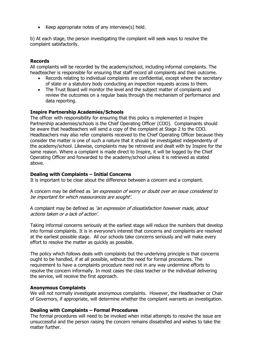• Keep appropriate notes of any interview(s) held.

b) At each stage, the person investigating the complaint will seek ways to resolve the complaint satisfactorily.

#### **Records**

All complaints will be recorded by the academy/school, including informal complaints. The headteacher is responsible for ensuring that staff record all complaints and their outcome.

- Records relating to individual complaints are confidential, except where the secretary of state or a statutory body conducting an inspection requests access to them.
- The Trust Board will monitor the level and the subject matter of complaints and review the outcomes on a regular basis through the mechanism of performance and data reporting.

#### **Inspire Partnership Academies/Schools**

The officer with responsibility for ensuring that this policy is implemented in Inspire Partnership academies/schools is the Chief Operating Officer (COO). Complainants should be aware that headteachers will send a copy of the complaint at Stage 2 to the COO. Headteachers may also refer complaints received to the Chief Operating Officer because they consider the matter is one of such a nature that it should be investigated independently of the academy/school. Likewise, complaints may be retrieved and dealt with by Inspire for the same reason. Where a complaint is made direct to Inspire, it will be logged by the Chief Operating Officer and forwarded to the academy/school unless it is retrieved as stated above.

#### **Dealing with Complaints – Initial Concerns**

It is important to be clear about the difference between a concern and a complaint.

A concern may be defined as 'an expression of worry or doubt over an issue considered to be important for which reassurances are sought'.

A complaint may be defined as 'an expression of dissatisfaction however made, about actions taken or a lack of action'.

Taking informal concerns seriously at the earliest stage will reduce the numbers that develop into formal complaints. It is in everyone's interest that concerns and complaints are resolved at the earliest possible stage. All our schools take concerns seriously and will make every effort to resolve the matter as quickly as possible.

The policy which follows deals with complaints but the underlying principle is that concerns ought to be handled, if at all possible, without the need for formal procedures. The requirement to have a complaints procedure need not in any way undermine efforts to resolve the concern informally. In most cases the class teacher or the individual delivering the service, will receive the first approach.

#### **Anonymous Complaints**

We will not normally investigate anonymous complaints. However, the Headteacher or Chair of Governors, if appropriate, will determine whether the complaint warrants an investigation.

#### **Dealing with Complaints – Formal Procedures**

The formal procedures will need to be invoked when initial attempts to resolve the issue are unsuccessful and the person raising the concern remains dissatisfied and wishes to take the matter further.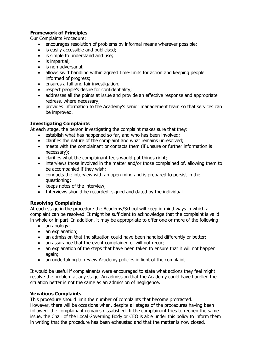# **Framework of Principles**

Our Complaints Procedure:

- encourages resolution of problems by informal means wherever possible;
- is easily accessible and publicised:
- is simple to understand and use;
- is impartial;
- is non-adversarial;
- allows swift handling within agreed time-limits for action and keeping people informed of progress;
- ensures a full and fair investigation;
- respect people's desire for confidentiality;
- addresses all the points at issue and provide an effective response and appropriate redress, where necessary;
- provides information to the Academy's senior management team so that services can be improved.

# **Investigating Complaints**

At each stage, the person investigating the complaint makes sure that they:

- establish what has happened so far, and who has been involved;
- clarifies the nature of the complaint and what remains unresolved;
- meets with the complainant or contacts them (if unsure or further information is necessary);
- clarifies what the complainant feels would put things right;
- interviews those involved in the matter and/or those complained of, allowing them to be accompanied if they wish;
- conducts the interview with an open mind and is prepared to persist in the questioning;
- keeps notes of the interview;
- Interviews should be recorded, signed and dated by the individual.

## **Resolving Complaints**

At each stage in the procedure the Academy/School will keep in mind ways in which a complaint can be resolved. It might be sufficient to acknowledge that the complaint is valid in whole or in part. In addition, it may be appropriate to offer one or more of the following:

- an apology;
- an explanation;
- an admission that the situation could have been handled differently or better;
- an assurance that the event complained of will not recur;
- an explanation of the steps that have been taken to ensure that it will not happen again;
- an undertaking to review Academy policies in light of the complaint.

It would be useful if complainants were encouraged to state what actions they feel might resolve the problem at any stage. An admission that the Academy could have handled the situation better is not the same as an admission of negligence.

## **Vexatious Complaints**

This procedure should limit the number of complaints that become protracted.

However, there will be occasions when, despite all stages of the procedures having been followed, the complainant remains dissatisfied. If the complainant tries to reopen the same issue, the Chair of the Local Governing Body or CEO is able under this policy to inform them in writing that the procedure has been exhausted and that the matter is now closed.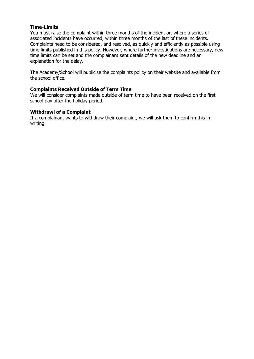#### **Time-Limits**

You must raise the complaint within three months of the incident or, where a series of associated incidents have occurred, within three months of the last of these incidents. Complaints need to be considered, and resolved, as quickly and efficiently as possible using time limits published in this policy. However, where further investigations are necessary, new time limits can be set and the complainant sent details of the new deadline and an explanation for the delay.

The Academy/School will publicise the complaints policy on their website and available from the school office.

#### **Complaints Received Outside of Term Time**

We will consider complaints made outside of term time to have been received on the first school day after the holiday period.

#### **Withdrawl of a Complaint**

If a complainant wants to withdraw their complaint, we will ask them to confirm this in writing.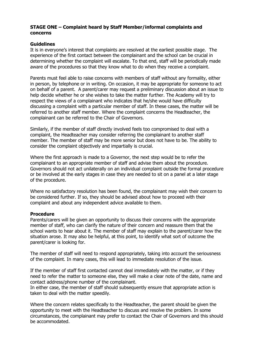#### **STAGE ONE – Complaint heard by Staff Member/informal complaints and concerns**

#### **Guidelines**

It is in everyone's interest that complaints are resolved at the earliest possible stage. The experience of the first contact between the complainant and the school can be crucial in determining whether the complaint will escalate. To that end, staff will be periodically made aware of the procedures so that they know what to do when they receive a complaint.

Parents must feel able to raise concerns with members of staff without any formality, either in person, by telephone or in writing. On occasion, it may be appropriate for someone to act on behalf of a parent. A parent/carer may request a preliminary discussion about an issue to help decide whether he or she wishes to take the matter further. The Academy will try to respect the views of a complainant who indicates that he/she would have difficulty discussing a complaint with a particular member of staff. In these cases, the matter will be referred to another staff member. Where the complaint concerns the Headteacher, the complainant can be referred to the Chair of Governors.

Similarly, if the member of staff directly involved feels too compromised to deal with a complaint, the Headteacher may consider referring the complainant to another staff member. The member of staff may be more senior but does not have to be. The ability to consider the complaint objectively and impartially is crucial.

Where the first approach is made to a Governor, the next step would be to refer the complainant to an appropriate member of staff and advise them about the procedure. Governors should not act unilaterally on an individual complaint outside the formal procedure or be involved at the early stages in case they are needed to sit on a panel at a later stage of the procedure.

Where no satisfactory resolution has been found, the complainant may wish their concern to be considered further. If so, they should be advised about how to proceed with their complaint and about any independent advice available to them.

#### **Procedure**

Parents/carers will be given an opportunity to discuss their concerns with the appropriate member of staff, who can clarify the nature of their concern and reassure them that the school wants to hear about it. The member of staff may explain to the parent/carer how the situation arose. It may also be helpful, at this point, to identify what sort of outcome the parent/carer is looking for.

The member of staff will need to respond appropriately, taking into account the seriousness of the complaint. In many cases, this will lead to immediate resolution of the issue.

If the member of staff first contacted cannot deal immediately with the matter, or if they need to refer the matter to someone else, they will make a clear note of the date, name and contact address/phone number of the complainant.

In either case, the member of staff should subsequently ensure that appropriate action is taken to deal with the matter speedily.

Where the concern relates specifically to the Headteacher, the parent should be given the opportunity to meet with the Headteacher to discuss and resolve the problem. In some circumstances, the complainant may prefer to contact the Chair of Governors and this should be accommodated.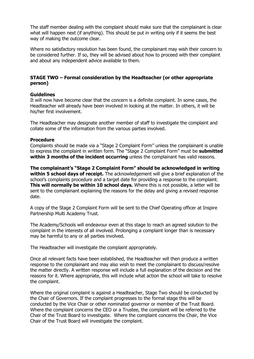The staff member dealing with the complaint should make sure that the complainant is clear what will happen next (if anything). This should be put in writing only if it seems the best way of making the outcome clear.

Where no satisfactory resolution has been found, the complainant may wish their concern to be considered further. If so, they will be advised about how to proceed with their complaint and about any independent advice available to them.

## **STAGE TWO – Formal consideration by the Headteacher (or other appropriate person)**

#### **Guidelines**

It will now have become clear that the concern is a definite complaint. In some cases, the Headteacher will already have been involved in looking at the matter. In others, it will be his/her first involvement.

The Headteacher may designate another member of staff to investigate the complaint and collate some of the information from the various parties involved.

#### **Procedure**

Complaints should be made via a "Stage 2 Complaint Form" unless the complainant is unable to express the complaint in written form. The "Stage 2 Complaint Form" must be **submitted within 3 months of the incident occurring** unless the complainant has valid reasons.

**The complainant's "Stage 2 Complaint Form" should be acknowledged in writing within 5 school days of receipt.** The acknowledgement will give a brief explanation of the school's complaints procedure and a target date for providing a response to the complaint. **This will normally be within 10 school days.** Where this is not possible, a letter will be sent to the complainant explaining the reasons for the delay and giving a revised response date.

A copy of the Stage 2 Complaint Form will be sent to the Chief Operating officer at Inspire Partnership Multi Academy Trust.

The Academy/Schools will endeavour even at this stage to reach an agreed solution to the complaint in the interests of all involved. Prolonging a complaint longer than is necessary may be harmful to any or all parties involved.

The Headteacher will investigate the complaint appropriately.

Once all relevant facts have been established, the Headteacher will then produce a written response to the complainant and may also wish to meet the complainant to discuss/resolve the matter directly. A written response will include a full explanation of the decision and the reasons for it. Where appropriate, this will include what action the school will take to resolve the complaint.

Where the original complaint is against a Headteacher, Stage Two should be conducted by the Chair of Governors. If the complaint progresses to the formal stage this will be conducted by the Vice Chair or other nominated governor or member of the Trust Board. Where the complaint concerns the CEO or a Trustee, the complaint will be referred to the Chair of the Trust Board to investigate. Where the complaint concerns the Chair, the Vice Chair of the Trust Board will investigate the complaint.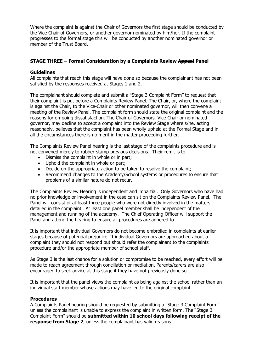Where the complaint is against the Chair of Governors the first stage should be conducted by the Vice Chair of Governors, or another governor nominated by him/her. If the complaint progresses to the formal stage this will be conducted by another nominated governor or member of the Trust Board.

# **STAGE THREE – Formal Consideration by a Complaints Review Appeal Panel**

### **Guidelines**

All complaints that reach this stage will have done so because the complainant has not been satisfied by the responses received at Stages 1 and 2.

The complainant should complete and submit a "Stage 3 Complaint Form" to request that their complaint is put before a Complaints Review Panel. The Chair, or, where the complaint is against the Chair, to the Vice-Chair or other nominated governor, will then convene a meeting of the Review Panel. The complaint form should state the original complaint and the reasons for on-going dissatisfaction. The Chair of Governors, Vice Chair or nominated governor, may decline to accept a complaint into the Review Stage where s/he, acting reasonably, believes that the complaint has been wholly upheld at the Formal Stage and in all the circumstances there is no merit in the matter proceeding further.

The Complaints Review Panel hearing is the last stage of the complaints procedure and is not convened merely to rubber-stamp previous decisions. Their remit is to

- Dismiss the complaint in whole or in part;
- Uphold the complaint in whole or part;
- Decide on the appropriate action to be taken to resolve the complaint;
- Recommend changes to the Academy/School systems or procedures to ensure that problems of a similar nature do not recur.

The Complaints Review Hearing is independent and impartial. Only Governors who have had no prior knowledge or involvement in the case can sit on the Complaints Review Panel. The Panel will consist of at least three people who were not directly involved in the matters detailed in the complaint. At least one panel member shall be independent of the management and running of the academy. The Chief Operating Officer will support the Panel and attend the hearing to ensure all procedures are adhered to.

It is important that individual Governors do not become embroiled in complaints at earlier stages because of potential prejudice. If individual Governors are approached about a complaint they should not respond but should refer the complainant to the complaints procedure and/or the appropriate member of school staff.

As Stage 3 is the last chance for a solution or compromise to be reached, every effort will be made to reach agreement through conciliation or mediation. Parents/carers are also encouraged to seek advice at this stage if they have not previously done so.

It is important that the panel views the complaint as being against the school rather than an individual staff member whose actions may have led to the original complaint.

#### **Procedures**

A Complaints Panel hearing should be requested by submitting a "Stage 3 Complaint Form" unless the complainant is unable to express the complaint in written form. The "Stage 3 Complaint Form" should be **submitted within 10 school days following receipt of the response from Stage 2**, unless the complainant has valid reasons.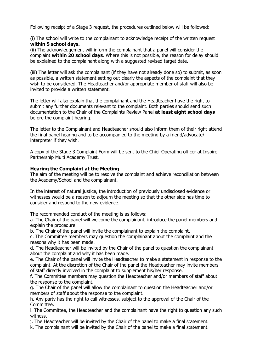Following receipt of a Stage 3 request, the procedures outlined below will be followed:

(i) The school will write to the complainant to acknowledge receipt of the written request **within 5 school days.** 

(ii) The acknowledgement will inform the complainant that a panel will consider the complaint **within 20 school days**. Where this is not possible, the reason for delay should be explained to the complainant along with a suggested revised target date.

(iii) The letter will ask the complainant (if they have not already done so) to submit, as soon as possible, a written statement setting out clearly the aspects of the complaint that they wish to be considered. The Headteacher and/or appropriate member of staff will also be invited to provide a written statement.

The letter will also explain that the complainant and the Headteacher have the right to submit any further documents relevant to the complaint. Both parties should send such documentation to the Chair of the Complaints Review Panel **at least eight school days**  before the complaint hearing.

The letter to the Complainant and Headteacher should also inform them of their right attend the final panel hearing and to be accompanied to the meeting by a friend/advocate/ interpreter if they wish.

A copy of the Stage 3 Complaint Form will be sent to the Chief Operating officer at Inspire Partnership Multi Academy Trust.

### **Hearing the Complaint at the Meeting**

The aim of the meeting will be to resolve the complaint and achieve reconciliation between the Academy/School and the complainant.

In the interest of natural justice, the introduction of previously undisclosed evidence or witnesses would be a reason to adjourn the meeting so that the other side has time to consider and respond to the new evidence.

The recommended conduct of the meeting is as follows:

a. The Chair of the panel will welcome the complainant, introduce the panel members and explain the procedure.

b. The Chair of the panel will invite the complainant to explain the complaint.

c. The Committee members may question the complainant about the complaint and the reasons why it has been made.

d. The Headteacher will be invited by the Chair of the panel to question the complainant about the complaint and why it has been made.

e. The Chair of the panel will invite the Headteacher to make a statement in response to the complaint. At the discretion of the Chair of the panel the Headteacher may invite members of staff directly involved in the complaint to supplement his/her response.

f. The Committee members may question the Headteacher and/or members of staff about the response to the complaint.

g. The Chair of the panel will allow the complainant to question the Headteacher and/or members of staff about the response to the complaint.

h. Any party has the right to call witnesses, subject to the approval of the Chair of the Committee.

i. The Committee, the Headteacher and the complainant have the right to question any such witness.

j. The Headteacher will be invited by the Chair of the panel to make a final statement.

k. The complainant will be invited by the Chair of the panel to make a final statement.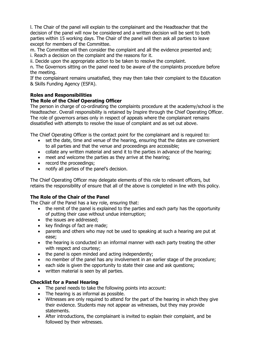l. The Chair of the panel will explain to the complainant and the Headteacher that the decision of the panel will now be considered and a written decision will be sent to both parties within 15 working days. The Chair of the panel will then ask all parties to leave except for members of the Committee.

m. The Committee will then consider the complaint and all the evidence presented and; i. Reach a decision on the complaint and the reasons for it.

ii. Decide upon the appropriate action to be taken to resolve the complaint.

n. The Governors sitting on the panel need to be aware of the complaints procedure before the meeting.

If the complainant remains unsatisfied, they may then take their complaint to the Education & Skills Funding Agency (ESFA).

### **Roles and Responsibilities**

### **The Role of the Chief Operating Officer**

The person in charge of co-ordinating the complaints procedure at the academy/school is the Headteacher. Overall responsibility is retained by Inspire through the Chief Operating Officer. The role of governors arises only in respect of appeals where the complainant remains dissatisfied with attempts to resolve the issue of complaint and as set out above.

The Chief Operating Officer is the contact point for the complainant and is required to:

- set the date, time and venue of the hearing, ensuring that the dates are convenient to all parties and that the venue and proceedings are accessible;
- collate any written material and send it to the parties in advance of the hearing;
- meet and welcome the parties as they arrive at the hearing;
- record the proceedings;
- notify all parties of the panel's decision.

The Chief Operating Officer may delegate elements of this role to relevant officers, but retains the responsibility of ensure that all of the above is completed in line with this policy.

## **The Role of the Chair of the Panel**

The Chair of the Panel has a key role, ensuring that:

- the remit of the panel is explained to the parties and each party has the opportunity of putting their case without undue interruption;
- the issues are addressed;
- key findings of fact are made;
- parents and others who may not be used to speaking at such a hearing are put at ease;
- the hearing is conducted in an informal manner with each party treating the other with respect and courtesy;
- the panel is open minded and acting independently;
- no member of the panel has any involvement in an earlier stage of the procedure;
- each side is given the opportunity to state their case and ask questions;
- written material is seen by all parties.

#### **Checklist for a Panel Hearing**

- The panel needs to take the following points into account:
- The hearing is as informal as possible.
- Witnesses are only required to attend for the part of the hearing in which they give their evidence. Students may not appear as witnesses, but they may provide statements.
- After introductions, the complainant is invited to explain their complaint, and be followed by their witnesses.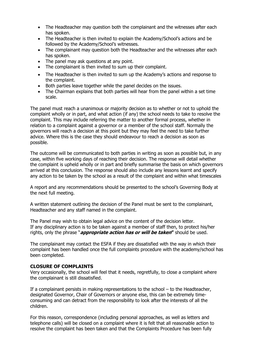- The Headteacher may question both the complainant and the witnesses after each has spoken.
- The Headteacher is then invited to explain the Academy/School's actions and be followed by the Academy/School's witnesses.
- The complainant may question both the Headteacher and the witnesses after each has spoken.
- The panel may ask questions at any point.
- The complainant is then invited to sum up their complaint.
- The Headteacher is then invited to sum up the Academy's actions and response to the complaint.
- Both parties leave together while the panel decides on the issues.
- The Chairman explains that both parties will hear from the panel within a set time scale.

The panel must reach a unanimous or majority decision as to whether or not to uphold the complaint wholly or in part, and what action (if any) the school needs to take to resolve the complaint. This may include referring the matter to another formal process, whether in relation to a complaint against a governor or a member of the school staff. Normally the governors will reach a decision at this point but they may feel the need to take further advice. Where this is the case they should endeavour to reach a decision as soon as possible.

The outcome will be communicated to both parties in writing as soon as possible but, in any case, within five working days of reaching their decision. The response will detail whether the complaint is upheld wholly or in part and briefly summarise the basis on which governors arrived at this conclusion. The response should also include any lessons learnt and specify any action to be taken by the school as a result of the complaint and within what timescales

A report and any recommendations should be presented to the school's Governing Body at the next full meeting.

A written statement outlining the decision of the Panel must be sent to the complainant, Headteacher and any staff named in the complaint.

The Panel may wish to obtain legal advice on the content of the decision letter. If any disciplinary action is to be taken against a member of staff then, to protect his/her rights, only the phrase "**appropriate action has or will be taken"** should be used.

The complainant may contact the ESFA if they are dissatisfied with the way in which their complaint has been handled once the full complaints procedure with the academy/school has been completed.

## **CLOSURE OF COMPLAINTS**

Very occasionally, the school will feel that it needs, regretfully, to close a complaint where the complainant is still dissatisfied.

If a complainant persists in making representations to the school – to the Headteacher, designated Governor, Chair of Governors or anyone else, this can be extremely timeconsuming and can detract from the responsibility to look after the interests of all the children.

For this reason, correspondence (including personal approaches, as well as letters and telephone calls) will be closed on a complaint where it is felt that all reasonable action to resolve the complaint has been taken and that the Complaints Procedure has been fully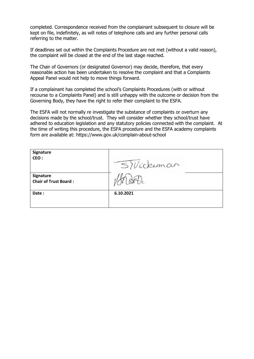completed. Correspondence received from the complainant subsequent to closure will be kept on file, indefinitely, as will notes of telephone calls and any further personal calls referring to the matter.

If deadlines set out within the Complaints Procedure are not met (without a valid reason), the complaint will be closed at the end of the last stage reached.

The Chair of Governors (or designated Governor) may decide, therefore, that every reasonable action has been undertaken to resolve the complaint and that a Complaints Appeal Panel would not help to move things forward.

If a complainant has completed the school's Complaints Procedures (with or without recourse to a Complaints Panel) and is still unhappy with the outcome or decision from the Governing Body, they have the right to refer their complaint to the ESFA.

The ESFA will not normally re investigate the substance of complaints or overturn any decisions made by the school/trust. They will consider whether they school/trust have adhered to education legislation and any statutory policies connected with the complaint. At the time of writing this procedure, the ESFA procedure and the ESFA academy complaints form are available at: https://www.gov.uk/complain-about-school

| Signature<br>CEO:                         | SWickerman |
|-------------------------------------------|------------|
| Signature<br><b>Chair of Trust Board:</b> |            |
| Date:                                     | 6.10.2021  |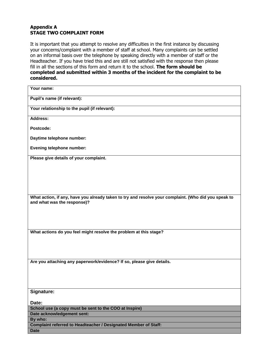## **Appendix A STAGE TWO COMPLAINT FORM**

It is important that you attempt to resolve any difficulties in the first instance by discussing your concerns/complaint with a member of staff at school. Many complaints can be settled on an informal basis over the telephone by speaking directly with a member of staff or the Headteacher. If you have tried this and are still not satisfied with the response then please fill in all the sections of this form and return it to the school. **The form should be completed and submitted within 3 months of the incident for the complaint to be considered.** 

| Your name:                                                                                           |
|------------------------------------------------------------------------------------------------------|
| Pupil's name (if relevant):                                                                          |
| Your relationship to the pupil (if relevant):                                                        |
| Address:                                                                                             |
| Postcode:                                                                                            |
| Daytime telephone number:                                                                            |
| <b>Evening telephone number:</b>                                                                     |
| Please give details of your complaint.                                                               |
|                                                                                                      |
|                                                                                                      |
|                                                                                                      |
| What action, if any, have you already taken to try and resolve your complaint. (Who did you speak to |
| and what was the response)?                                                                          |
|                                                                                                      |
|                                                                                                      |
| What actions do you feel might resolve the problem at this stage?                                    |
|                                                                                                      |
|                                                                                                      |
|                                                                                                      |
| Are you attaching any paperwork/evidence? If so, please give details.                                |
|                                                                                                      |
|                                                                                                      |
| Signature:                                                                                           |
| Date:                                                                                                |
| School use (a copy must be sent to the COO at Inspire)                                               |
| Date acknowledgement sent:                                                                           |
| By who:                                                                                              |
| Complaint referred to Headteacher / Designated Member of Staff:                                      |
| <b>Date</b>                                                                                          |
|                                                                                                      |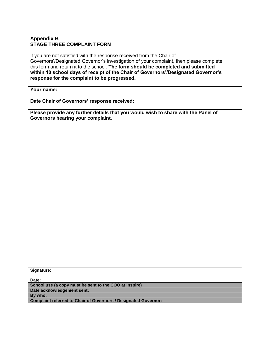# **Appendix B STAGE THREE COMPLAINT FORM**

If you are not satisfied with the response received from the Chair of Governors'/Designated Governor's investigation of your complaint, then please complete this form and return it to the school. **The form should be completed and submitted within 10 school days of receipt of the Chair of Governors'/Designated Governor's response for the complaint to be progressed.** 

## **Your name:**

**Date Chair of Governors' response received:** 

**Please provide any further details that you would wish to share with the Panel of Governors hearing your complaint.** 

**Signature:** 

**Date:** 

**School use (a copy must be sent to the COO at Inspire) Date acknowledgement sent:** 

**By who:** 

**Complaint referred to Chair of Governors / Designated Governor:**